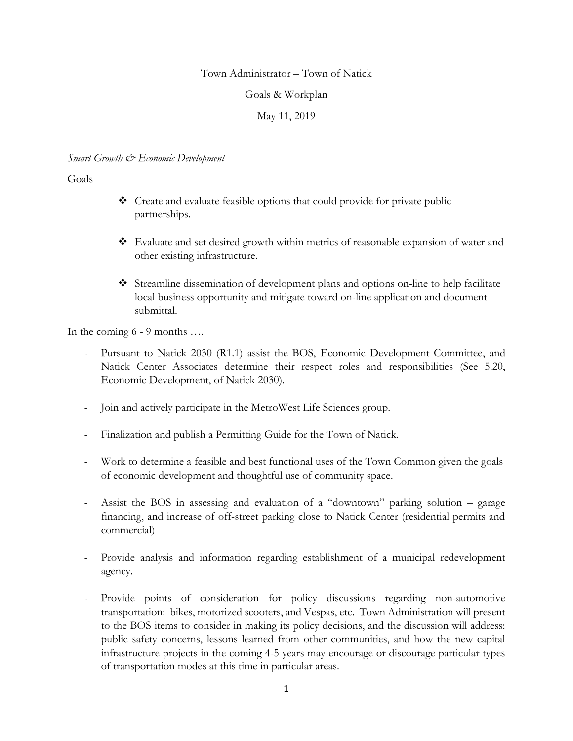#### Town Administrator – Town of Natick

#### Goals & Workplan

### May 11, 2019

#### *Smart Growth & Economic Development*

#### Goals

- Create and evaluate feasible options that could provide for private public partnerships.
- Evaluate and set desired growth within metrics of reasonable expansion of water and other existing infrastructure.
- Streamline dissemination of development plans and options on-line to help facilitate local business opportunity and mitigate toward on-line application and document submittal.

In the coming 6 - 9 months ….

- Pursuant to Natick 2030 (R1.1) assist the BOS, Economic Development Committee, and Natick Center Associates determine their respect roles and responsibilities (See 5.20, Economic Development, of Natick 2030).
- Join and actively participate in the MetroWest Life Sciences group.
- Finalization and publish a Permitting Guide for the Town of Natick.
- Work to determine a feasible and best functional uses of the Town Common given the goals of economic development and thoughtful use of community space.
- Assist the BOS in assessing and evaluation of a "downtown" parking solution garage financing, and increase of off-street parking close to Natick Center (residential permits and commercial)
- Provide analysis and information regarding establishment of a municipal redevelopment agency.
- Provide points of consideration for policy discussions regarding non-automotive transportation: bikes, motorized scooters, and Vespas, etc. Town Administration will present to the BOS items to consider in making its policy decisions, and the discussion will address: public safety concerns, lessons learned from other communities, and how the new capital infrastructure projects in the coming 4-5 years may encourage or discourage particular types of transportation modes at this time in particular areas.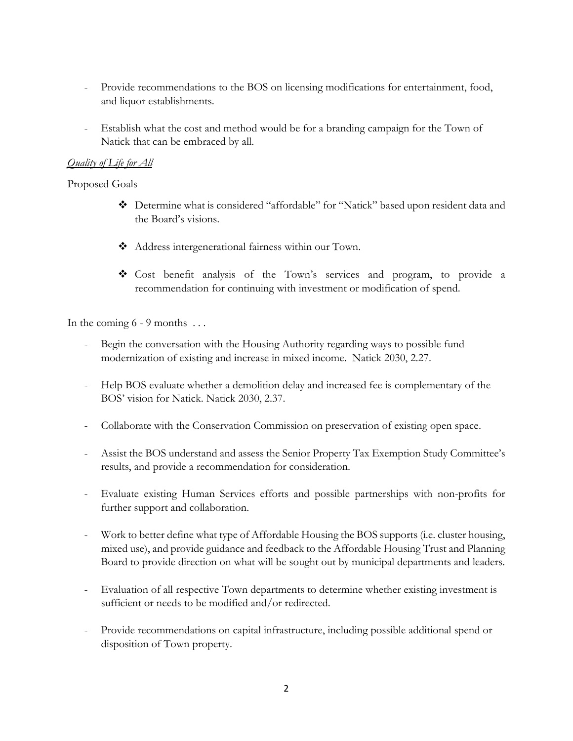- Provide recommendations to the BOS on licensing modifications for entertainment, food, and liquor establishments.
- Establish what the cost and method would be for a branding campaign for the Town of Natick that can be embraced by all.

# *Quality of Life for All*

Proposed Goals

- Determine what is considered "affordable" for "Natick" based upon resident data and the Board's visions.
- Address intergenerational fairness within our Town.
- Cost benefit analysis of the Town's services and program, to provide a recommendation for continuing with investment or modification of spend.

In the coming  $6 - 9$  months ...

- Begin the conversation with the Housing Authority regarding ways to possible fund modernization of existing and increase in mixed income. Natick 2030, 2.27.
- Help BOS evaluate whether a demolition delay and increased fee is complementary of the BOS' vision for Natick. Natick 2030, 2.37.
- Collaborate with the Conservation Commission on preservation of existing open space.
- Assist the BOS understand and assess the Senior Property Tax Exemption Study Committee's results, and provide a recommendation for consideration.
- Evaluate existing Human Services efforts and possible partnerships with non-profits for further support and collaboration.
- Work to better define what type of Affordable Housing the BOS supports (i.e. cluster housing, mixed use), and provide guidance and feedback to the Affordable Housing Trust and Planning Board to provide direction on what will be sought out by municipal departments and leaders.
- Evaluation of all respective Town departments to determine whether existing investment is sufficient or needs to be modified and/or redirected.
- Provide recommendations on capital infrastructure, including possible additional spend or disposition of Town property.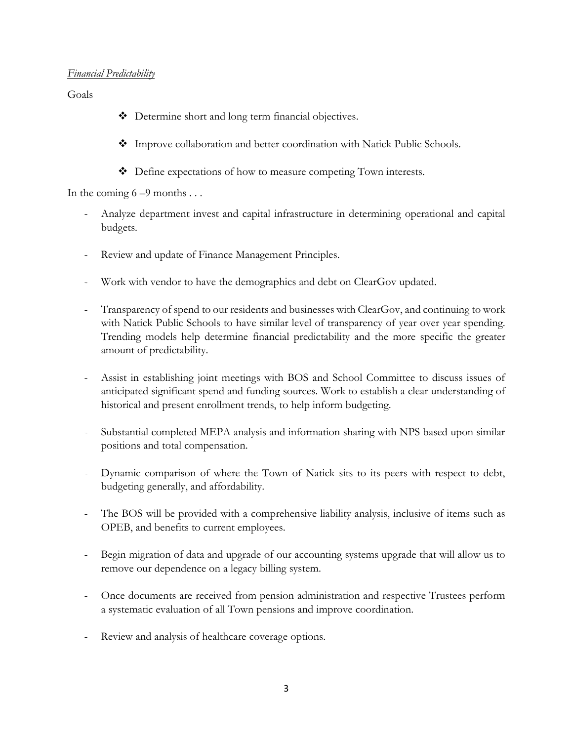### *Financial Predictability*

Goals

- Determine short and long term financial objectives.
- Improve collaboration and better coordination with Natick Public Schools.
- Define expectations of how to measure competing Town interests.

In the coming  $6 - 9$  months ...

- Analyze department invest and capital infrastructure in determining operational and capital budgets.
- Review and update of Finance Management Principles.
- Work with vendor to have the demographics and debt on ClearGov updated.
- Transparency of spend to our residents and businesses with ClearGov, and continuing to work with Natick Public Schools to have similar level of transparency of year over year spending. Trending models help determine financial predictability and the more specific the greater amount of predictability.
- Assist in establishing joint meetings with BOS and School Committee to discuss issues of anticipated significant spend and funding sources. Work to establish a clear understanding of historical and present enrollment trends, to help inform budgeting.
- Substantial completed MEPA analysis and information sharing with NPS based upon similar positions and total compensation.
- Dynamic comparison of where the Town of Natick sits to its peers with respect to debt, budgeting generally, and affordability.
- The BOS will be provided with a comprehensive liability analysis, inclusive of items such as OPEB, and benefits to current employees.
- Begin migration of data and upgrade of our accounting systems upgrade that will allow us to remove our dependence on a legacy billing system.
- Once documents are received from pension administration and respective Trustees perform a systematic evaluation of all Town pensions and improve coordination.
- Review and analysis of healthcare coverage options.